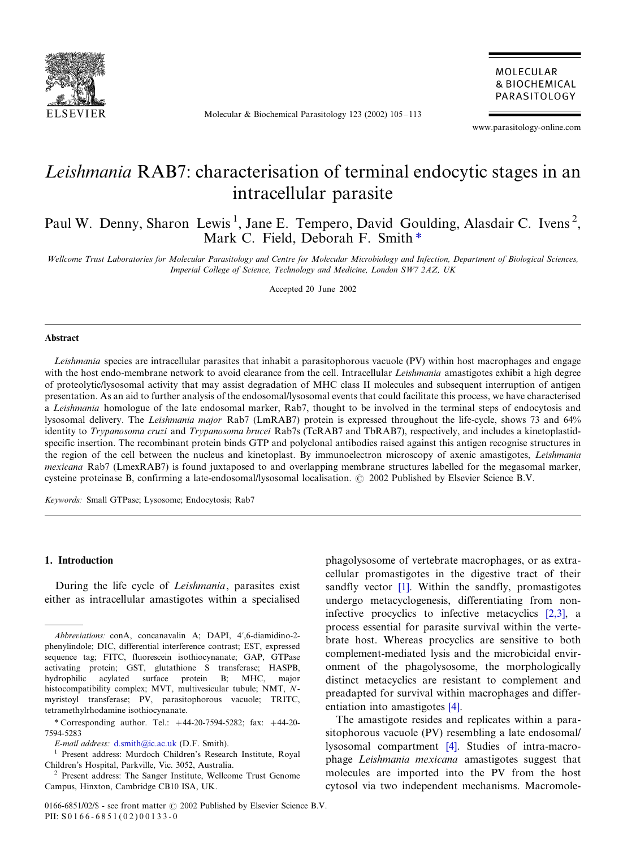

Molecular & Biochemical Parasitology 123 (2002) 105-113

MOLECULAR **& BIOCHEMICAL** PARASITOLOGY

www.parasitology-online.com

# Leishmania RAB7: characterisation of terminal endocytic stages in an intracellular parasite

Paul W. Denny, Sharon Lewis<sup>1</sup>, Jane E. Tempero, David Goulding, Alasdair C. Ivens<sup>2</sup>, Mark C. Field, Deborah F. Smith<sup>\*</sup>

Wellcome Trust Laboratories for Molecular Parasitology and Centre for Molecular Microbiology and Infection, Department of Biological Sciences, Imperial College of Science, Technology and Medicine, London SW7 2AZ, UK

Accepted 20 June 2002

#### Abstract

Leishmania species are intracellular parasites that inhabit a parasitophorous vacuole (PV) within host macrophages and engage with the host endo-membrane network to avoid clearance from the cell. Intracellular *Leishmania* amastigotes exhibit a high degree of proteolytic/lysosomal activity that may assist degradation of MHC class II molecules and subsequent interruption of antigen presentation. As an aid to further analysis of the endosomal/lysosomal events that could facilitate this process, we have characterised a Leishmania homologue of the late endosomal marker, Rab7, thought to be involved in the terminal steps of endocytosis and lysosomal delivery. The Leishmania major Rab7 (LmRAB7) protein is expressed throughout the life-cycle, shows 73 and 64% identity to Trypanosoma cruzi and Trypanosoma brucei Rab7s (TcRAB7 and TbRAB7), respectively, and includes a kinetoplastidspecific insertion. The recombinant protein binds GTP and polyclonal antibodies raised against this antigen recognise structures in the region of the cell between the nucleus and kinetoplast. By immunoelectron microscopy of axenic amastigotes, Leishmania mexicana Rab7 (LmexRAB7) is found juxtaposed to and overlapping membrane structures labelled for the megasomal marker, cysteine proteinase B, confirming a late-endosomal/lysosomal localisation.  $\odot$  2002 Published by Elsevier Science B.V.

Keywords: Small GTPase; Lysosome; Endocytosis; Rab7

# 1. Introduction

During the life cycle of Leishmania, parasites exist either as intracellular amastigotes within a specialised

phagolysosome of vertebrate macrophages, or as extracellular promastigotes in the digestive tract of their sandfly vector [\[1\]](#page-7-0). Within the sandfly, promastigotes undergo metacyclogenesis, differentiating from noninfective procyclics to infective metacyclics [\[2,3\]](#page-7-0), a process essential for parasite survival within the vertebrate host. Whereas procyclics are sensitive to both complement-mediated lysis and the microbicidal environment of the phagolysosome, the morphologically distinct metacyclics are resistant to complement and preadapted for survival within macrophages and differentiation into amastigotes [\[4\]](#page-7-0).

The amastigote resides and replicates within a parasitophorous vacuole (PV) resembling a late endosomal/ lysosomal compartment [\[4\].](#page-7-0) Studies of intra-macrophage Leishmania mexicana amastigotes suggest that molecules are imported into the PV from the host cytosol via two independent mechanisms. Macromole-

Abbreviations: conA, concanavalin A; DAPI, 4?,6-diamidino-2 phenylindole; DIC, differential interference contrast; EST, expressed sequence tag; FITC, fluorescein isothiocynanate; GAP, GTPase activating protein; GST, glutathione S transferase; HASPB, hydrophilic acylated surface protein B; MHC, major histocompatibility complex; MVT, multivesicular tubule; NMT, Nmyristoyl transferase; PV, parasitophorous vacuole; TRITC, tetramethylrhodamine isothiocynanate.

<sup>\*</sup> Corresponding author. Tel.: +44-20-7594-5282; fax: +44-20-7594-5283

E-mail address: [d.smith@ic.ac.uk](mailto:d.smith@ic.ac.uk) (D.F. Smith).

<sup>&</sup>lt;sup>1</sup> Present address: Murdoch Children's Research Institute, Royal Children's Hospital, Parkville, Vic. 3052, Australia. <sup>2</sup> Present address: The Sanger Institute, Wellcome Trust Genome

Campus, Hinxton, Cambridge CB10 ISA, UK.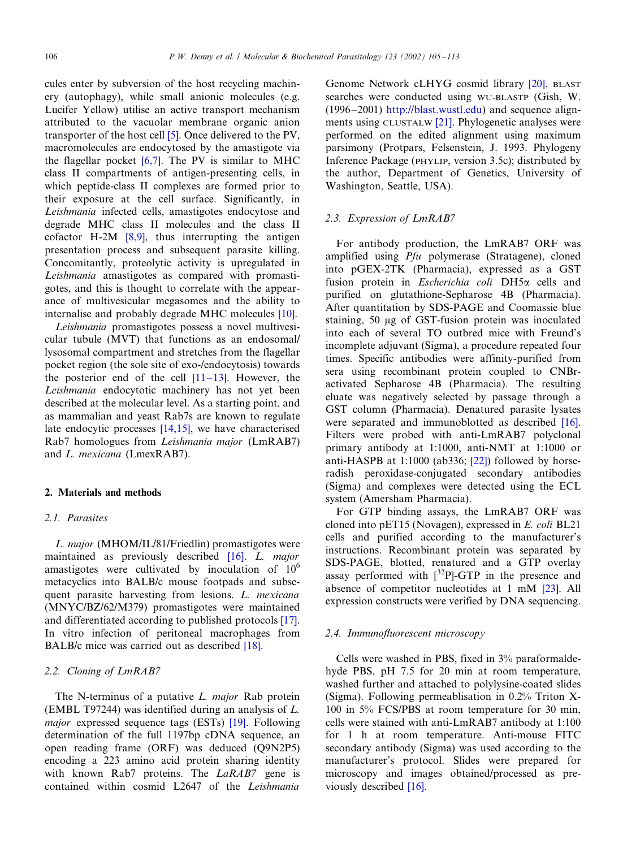cules enter by subversion of the host recycling machinery (autophagy), while small anionic molecules (e.g. Lucifer Yellow) utilise an active transport mechanism attributed to the vacuolar membrane organic anion transporter of the host cell [\[5\]](#page-7-0). Once delivered to the PV, macromolecules are endocytosed by the amastigote via the flagellar pocket [\[6,7\].](#page-7-0) The PV is similar to MHC class II compartments of antigen-presenting cells, in which peptide-class II complexes are formed prior to their exposure at the cell surface. Significantly, in Leishmania infected cells, amastigotes endocytose and degrade MHC class II molecules and the class II cofactor H-2M [\[8,9\],](#page-7-0) thus interrupting the antigen presentation process and subsequent parasite killing. Concomitantly, proteolytic activity is upregulated in Leishmania amastigotes as compared with promastigotes, and this is thought to correlate with the appearance of multivesicular megasomes and the ability to internalise and probably degrade MHC molecules [\[10\]](#page-7-0).

Leishmania promastigotes possess a novel multivesicular tubule (MVT) that functions as an endosomal/ lysosomal compartment and stretches from the flagellar pocket region (the sole site of exo-/endocytosis) towards the posterior end of the cell  $[11-13]$  $[11-13]$ . However, the Leishmania endocytotic machinery has not yet been described at the molecular level. As a starting point, and as mammalian and yeast Rab7s are known to regulate late endocytic processes [\[14,15\]](#page-7-0), we have characterised Rab7 homologues from Leishmania major (LmRAB7) and L. mexicana (LmexRAB7).

# 2. Materials and methods

## 2.1. Parasites

L. major (MHOM/IL/81/Friedlin) promastigotes were maintained as previously described [\[16\]](#page-7-0). L. major amastigotes were cultivated by inoculation of  $10<sup>6</sup>$ metacyclics into BALB/c mouse footpads and subsequent parasite harvesting from lesions. L. mexicana (MNYC/BZ/62/M379) promastigotes were maintained and differentiated according to published protocols [\[17\]](#page-7-0). In vitro infection of peritoneal macrophages from BALB/c mice was carried out as described [\[18\].](#page-7-0)

# 2.2. Cloning of LmRAB7

The N-terminus of a putative L. major Rab protein (EMBL T97244) was identified during an analysis of L. major expressed sequence tags (ESTs) [\[19\]](#page-7-0). Following determination of the full 1197bp cDNA sequence, an open reading frame (ORF) was deduced (Q9N2P5) encoding a 223 amino acid protein sharing identity with known Rab7 proteins. The LaRAB7 gene is contained within cosmid L2647 of the Leishmania

Genome Network cLHYG cosmid library [\[20\]](#page-8-0). BLAST searches were conducted using WU-BLASTP (Gish, W.  $(1996-2001)$  [http://blast.wustl.edu\)](http://blast.wustl.edu) and sequence alignments using CLUSTALW [\[21\]](#page-8-0). Phylogenetic analyses were performed on the edited alignment using maximum parsimony (Protpars, Felsenstein, J. 1993. Phylogeny Inference Package (PHYLIP, version 3.5c); distributed by the author, Department of Genetics, University of Washington, Seattle, USA).

### 2.3. Expression of LmRAB7

For antibody production, the LmRAB7 ORF was amplified using Pfu polymerase (Stratagene), cloned into pGEX-2TK (Pharmacia), expressed as a GST fusion protein in Escherichia coli DH5a cells and purified on glutathione-Sepharose 4B (Pharmacia). After quantitation by SDS-PAGE and Coomassie blue staining, 50 mg of GST-fusion protein was inoculated into each of several TO outbred mice with Freund's incomplete adjuvant (Sigma), a procedure repeated four times. Specific antibodies were affinity-purified from sera using recombinant protein coupled to CNBractivated Sepharose 4B (Pharmacia). The resulting eluate was negatively selected by passage through a GST column (Pharmacia). Denatured parasite lysates were separated and immunoblotted as described [\[16\]](#page-7-0). Filters were probed with anti-LmRAB7 polyclonal primary antibody at 1:1000, anti-NMT at 1:1000 or anti-HASPB at 1:1000 (ab336; [\[22\]](#page-8-0)) followed by horseradish peroxidase-conjugated secondary antibodies (Sigma) and complexes were detected using the ECL system (Amersham Pharmacia).

For GTP binding assays, the LmRAB7 ORF was cloned into pET15 (Novagen), expressed in E. coli BL21 cells and purified according to the manufacturer's instructions. Recombinant protein was separated by SDS-PAGE, blotted, renatured and a GTP overlay assay performed with  $\int^{32}P$ ]-GTP in the presence and absence of competitor nucleotides at 1 mM [\[23\]](#page-8-0). All expression constructs were verified by DNA sequencing.

# 2.4. Immunofluorescent microscopy

Cells were washed in PBS, fixed in 3% paraformaldehyde PBS, pH 7.5 for 20 min at room temperature, washed further and attached to polylysine-coated slides (Sigma). Following permeablisation in 0.2% Triton X-100 in 5% FCS/PBS at room temperature for 30 min, cells were stained with anti-LmRAB7 antibody at 1:100 for 1 h at room temperature. Anti-mouse FITC secondary antibody (Sigma) was used according to the manufacturer's protocol. Slides were prepared for microscopy and images obtained/processed as previously described [\[16\]](#page-7-0).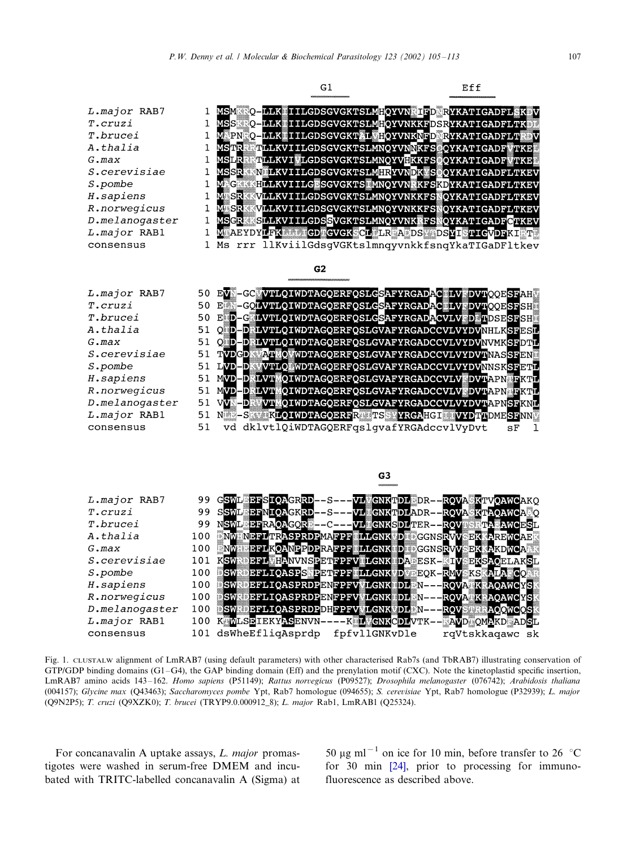<span id="page-2-0"></span>

Fig. 1. CLUSTALW alignment of LmRAB7 (using default parameters) with other characterised Rab7s (and TbRAB7) illustrating conservation of  $GTP/GDP$  binding domains  $(G1-G4)$ , the GAP binding domain (Eff) and the prenylation motif (CXC). Note the kinetoplastid specific insertion, LmRAB7 amino acids 143-162. Homo sapiens (P51149); Rattus norvegicus (P09527); Drosophila melanogaster (076742); Arabidosis thaliana (004157); Glycine max (Q43463); Saccharomyces pombe Ypt, Rab7 homologue (094655); S. cerevisiae Ypt, Rab7 homologue (P32939); L. major (Q9N2P5); T. cruzi (Q9XZK0); T. brucei (TRYP9.0.000912\_8); L. major Rab1, LmRAB1 (Q25324).

For concanavalin A uptake assays, L. major promastigotes were washed in serum-free DMEM and incubated with TRITC-labelled concanavalin A (Sigma) at

50  $\mu$ g ml<sup>-1</sup> on ice for 10 min, before transfer to 26 °C for 30 min [\[24\]](#page-8-0), prior to processing for immunofluorescence as described above.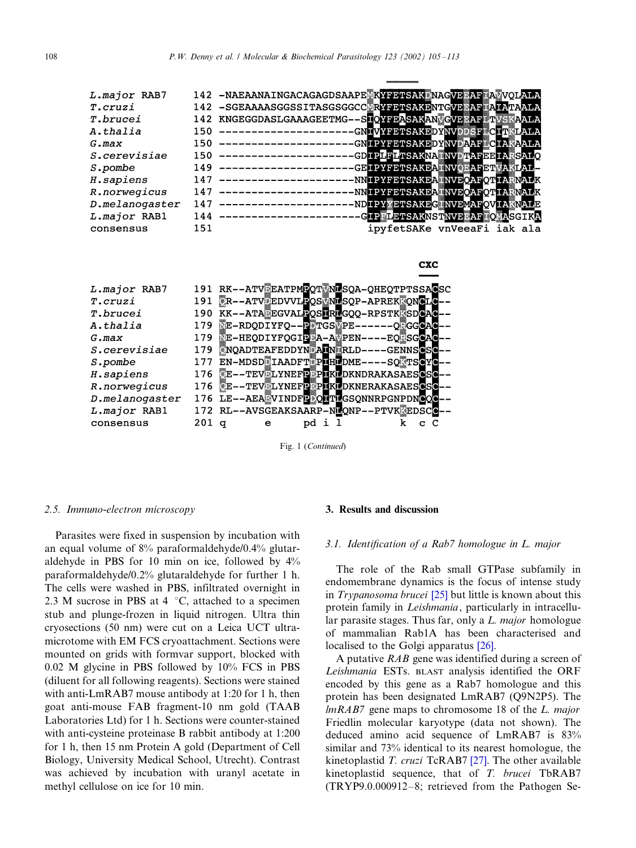| L.major RAB7   |     | 142 -NAEAANAINGACAGAGDSAAPE KYFETSAK NAGVE AF ANVOLALA       |
|----------------|-----|--------------------------------------------------------------|
| T.cruzi        |     | 142 -SGEAAAASGGSSITASGSGGCC RYFETSAKENTGVE AF ALALALA        |
| T.brucei       |     | 142 KNGEGGDASLGAAAGEETMG--SLOYFEASAKAN GVE AF TYSKAALA       |
| A.thalia       |     | 150 --------------------GNHVYFETSAKEDYNVELECETRLALA          |
| $G$ . $max$    |     | 150 ----------------------GNIPYFETSAKEDYNVAARECIAMAALA       |
| S.cerevisiae   |     | 150 --------------------GDIPLFLTSAKNA NVITAFEEIA SALQ        |
| S.pombe        |     | -GEIPYFETSAKEANNOBAFETYAKLAL-<br>149 ---------------------   |
| H.sapiens      | 147 | -NNIPYFETSAKEA NVEQAFQTIA NALK<br>--------------------       |
| R.norwegicus   | 147 | -NNIPYFETSAKEA▓NVEQAFQTIA▓NALK<br>----------------------     |
| D.melanogaster | 147 | -NDIPY ETSAKEG NVEMAFQVIA NALE<br>--------------------       |
| L.major RAB1   |     | -GIP LETSAKNSTNVE AF OLASGIKA<br>$144$ --------------------- |
| consensus      | 151 | ipyfetSAKe vnVeeaFi iak ala                                  |
|                |     |                                                              |



Fig. 1 (Continued)

#### 2.5. Immuno-electron microscopy

Parasites were fixed in suspension by incubation with an equal volume of 8% paraformaldehyde/0.4% glutaraldehyde in PBS for 10 min on ice, followed by 4% paraformaldehyde/0.2% glutaraldehyde for further 1 h. The cells were washed in PBS, infiltrated overnight in 2.3 M sucrose in PBS at 4  $\degree$ C, attached to a specimen stub and plunge-frozen in liquid nitrogen. Ultra thin cryosections (50 nm) were cut on a Leica UCT ultramicrotome with EM FCS cryoattachment. Sections were mounted on grids with formvar support, blocked with 0.02 M glycine in PBS followed by 10% FCS in PBS (diluent for all following reagents). Sections were stained with anti-LmRAB7 mouse antibody at 1:20 for 1 h, then goat anti-mouse FAB fragment-10 nm gold (TAAB Laboratories Ltd) for 1 h. Sections were counter-stained with anti-cysteine proteinase B rabbit antibody at 1:200 for 1 h, then 15 nm Protein A gold (Department of Cell Biology, University Medical School, Utrecht). Contrast was achieved by incubation with uranyl acetate in methyl cellulose on ice for 10 min.

#### 3. Results and discussion

#### 3.1. Identification of a Rab7 homologue in L. major

**CXC** 

The role of the Rab small GTPase subfamily in endomembrane dynamics is the focus of intense study in Trypanosoma brucei [\[25\]](#page-8-0) but little is known about this protein family in Leishmania, particularly in intracellular parasite stages. Thus far, only a L. major homologue of mammalian Rab1A has been characterised and localised to the Golgi apparatus [\[26\]](#page-8-0).

A putative  $RAB$  gene was identified during a screen of Leishmania ESTs. BLAST analysis identified the ORF encoded by this gene as a Rab7 homologue and this protein has been designated LmRAB7 (Q9N2P5). The lmRAB7 gene maps to chromosome 18 of the L. major Friedlin molecular karyotype (data not shown). The deduced amino acid sequence of LmRAB7 is 83% similar and 73% identical to its nearest homologue, the kinetoplastid T. cruzi TcRAB7 [\[27\].](#page-8-0) The other available kinetoplastid sequence, that of T. brucei TbRAB7  $(TRYP9.0.000912-8;$  retrieved from the Pathogen Se-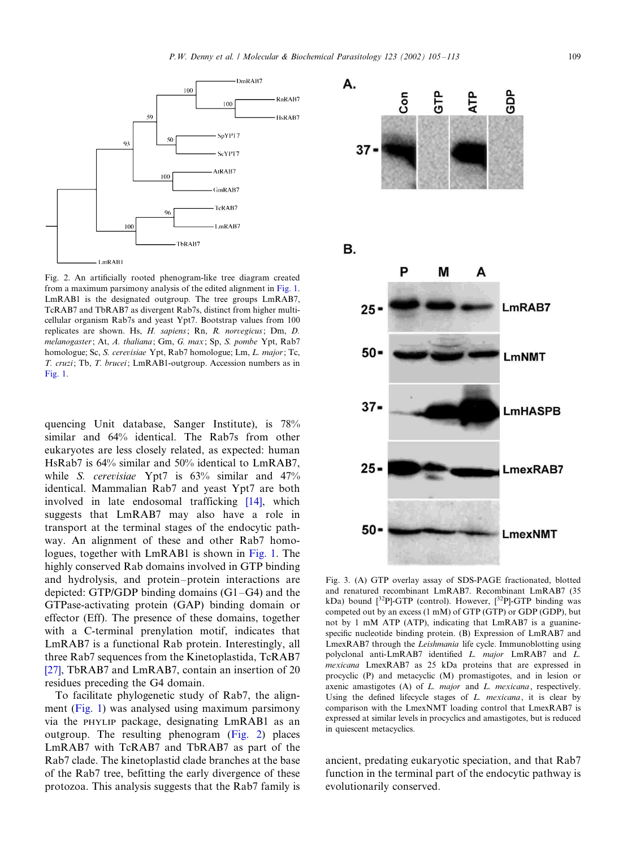<span id="page-4-0"></span>

Fig. 2. An artificially rooted phenogram-like tree diagram created from a maximum parsimony analysis of the edited alignment in [Fig. 1.](#page-2-0) LmRAB1 is the designated outgroup. The tree groups LmRAB7, TcRAB7 and TbRAB7 as divergent Rab7s, distinct from higher multicellular organism Rab7s and yeast Ypt7. Bootstrap values from 100 replicates are shown. Hs, H. sapiens; Rn, R. norvegicus; Dm, D. melanogaster; At, A. thaliana; Gm, G. max; Sp, S. pombe Ypt, Rab7 homologue; Sc, S. cerevisiae Ypt, Rab7 homologue; Lm, L. major; Tc, T. cruzi; Tb, T. brucei; LmRAB1-outgroup. Accession numbers as in  $Fig. 1.$  $Fig. 1.$ 

quencing Unit database, Sanger Institute), is 78% similar and 64% identical. The Rab7s from other eukaryotes are less closely related, as expected: human HsRab7 is 64% similar and 50% identical to LmRAB7, while S. cerevisiae Ypt7 is 63% similar and 47% identical. Mammalian Rab7 and yeast Ypt7 are both involved in late endosomal trafficking [\[14\]](#page-7-0), which suggests that LmRAB7 may also have a role in transport at the terminal stages of the endocytic pathway. An alignment of these and other Rab7 homologues, together with LmRAB1 is shown in [Fig. 1](#page-2-0). The highly conserved Rab domains involved in GTP binding and hydrolysis, and protein–protein interactions are depicted: GTP/GDP binding domains  $(G1-G4)$  and the GTPase-activating protein (GAP) binding domain or effector (Eff). The presence of these domains, together with a C-terminal prenylation motif, indicates that LmRAB7 is a functional Rab protein. Interestingly, all three Rab7 sequences from the Kinetoplastida, TcRAB7 [\[27\]](#page-8-0), TbRAB7 and LmRAB7, contain an insertion of 20 residues preceding the G4 domain.

To facilitate phylogenetic study of Rab7, the alignment [\(Fig. 1\)](#page-2-0) was analysed using maximum parsimony via the PHYLIP package, designating LmRAB1 as an outgroup. The resulting phenogram (Fig. 2) places LmRAB7 with TcRAB7 and TbRAB7 as part of the Rab7 clade. The kinetoplastid clade branches at the base of the Rab7 tree, befitting the early divergence of these protozoa. This analysis suggests that the Rab7 family is



Fig. 3. (A) GTP overlay assay of SDS-PAGE fractionated, blotted and renatured recombinant LmRAB7. Recombinant LmRAB7 (35 kDa) bound  $[^{32}P]$ -GTP (control). However,  $[^{32}P]$ -GTP binding was competed out by an excess (1 mM) of GTP (GTP) or GDP (GDP), but not by 1 mM ATP (ATP), indicating that LmRAB7 is a guaninespecific nucleotide binding protein. (B) Expression of LmRAB7 and LmexRAB7 through the Leishmania life cycle. Immunoblotting using polyclonal anti-LmRAB7 identified L. major LmRAB7 and L. mexicana LmexRAB7 as 25 kDa proteins that are expressed in procyclic (P) and metacyclic (M) promastigotes, and in lesion or axenic amastigotes (A) of L. major and L. mexicana, respectively. Using the defined lifecycle stages of  $L$ . mexicana, it is clear by comparison with the LmexNMT loading control that LmexRAB7 is expressed at similar levels in procyclics and amastigotes, but is reduced in quiescent metacyclics.

ancient, predating eukaryotic speciation, and that Rab7 function in the terminal part of the endocytic pathway is evolutionarily conserved.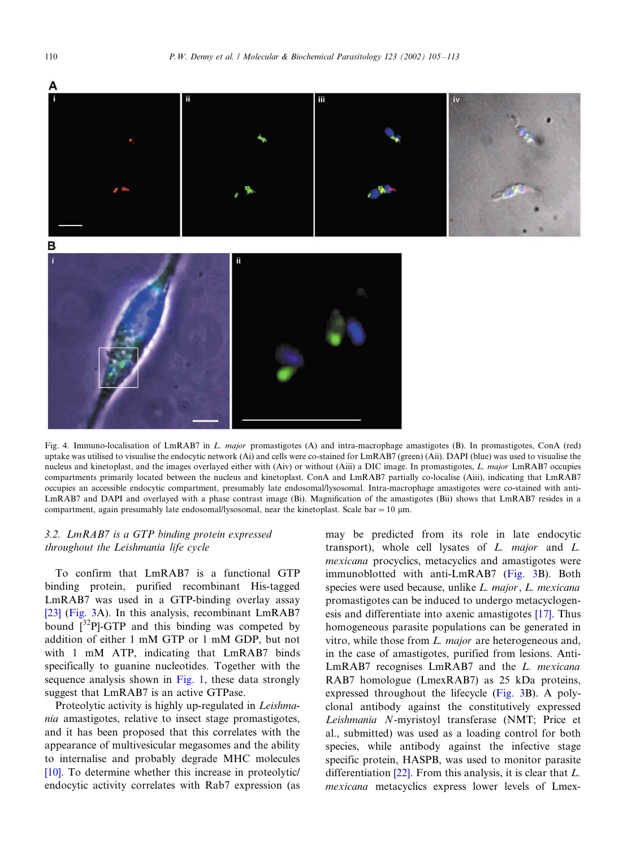<span id="page-5-0"></span>

Fig. 4. Immuno-localisation of LmRAB7 in L. major promastigotes (A) and intra-macrophage amastigotes (B). In promastigotes, ConA (red) uptake was utilised to visualise the endocytic network (Ai) and cells were co-stained for LmRAB7 (green) (Aii). DAPI (blue) was used to visualise the nucleus and kinetoplast, and the images overlayed either with (Aiv) or without (Aiii) a DIC image. In promastigotes, L. major LmRAB7 occupies compartments primarily located between the nucleus and kinetoplast. ConA and LmRAB7 partially co-localise (Aiii), indicating that LmRAB7 occupies an accessible endocytic compartment, presumably late endosomal/lysosomal. Intra-macrophage amastigotes were co-stained with anti-LmRAB7 and DAPI and overlayed with a phase contrast image (Bi). Magnification of the amastigotes (Bii) shows that LmRAB7 resides in a compartment, again presumably late endosomal/lysosomal, near the kinetoplast. Scale bar =  $10 \mu$ m.

# 3.2. LmRAB7 is a GTP binding protein expressed throughout the Leishmania life cycle

To confirm that LmRAB7 is a functional GTP binding protein, purified recombinant His-tagged LmRAB7 was used in a GTP-binding overlay assay [\[23\]](#page-8-0) ([Fig. 3A](#page-4-0)). In this analysis, recombinant LmRAB7 bound  $\int^{32}P$ -GTP and this binding was competed by addition of either 1 mM GTP or 1 mM GDP, but not with 1 mM ATP, indicating that LmRAB7 binds specifically to guanine nucleotides. Together with the sequence analysis shown in [Fig. 1](#page-2-0), these data strongly suggest that LmRAB7 is an active GTPase.

Proteolytic activity is highly up-regulated in Leishmania amastigotes, relative to insect stage promastigotes, and it has been proposed that this correlates with the appearance of multivesicular megasomes and the ability to internalise and probably degrade MHC molecules [\[10\]](#page-7-0). To determine whether this increase in proteolytic/ endocytic activity correlates with Rab7 expression (as may be predicted from its role in late endocytic transport), whole cell lysates of  $L$ . *major* and  $L$ . mexicana procyclics, metacyclics and amastigotes were immunoblotted with anti-LmRAB7 ([Fig. 3B](#page-4-0)). Both species were used because, unlike L. major, L. mexicana promastigotes can be induced to undergo metacyclogenesis and differentiate into axenic amastigotes [\[17\]](#page-7-0). Thus homogeneous parasite populations can be generated in vitro, while those from L. major are heterogeneous and, in the case of amastigotes, purified from lesions. Anti-LmRAB7 recognises LmRAB7 and the L. mexicana RAB7 homologue (LmexRAB7) as 25 kDa proteins, expressed throughout the lifecycle [\(Fig. 3B](#page-4-0)). A polyclonal antibody against the constitutively expressed Leishmania N-myristoyl transferase (NMT; Price et al., submitted) was used as a loading control for both species, while antibody against the infective stage specific protein, HASPB, was used to monitor parasite differentiation  $[22]$ . From this analysis, it is clear that  $L$ . mexicana metacyclics express lower levels of Lmex-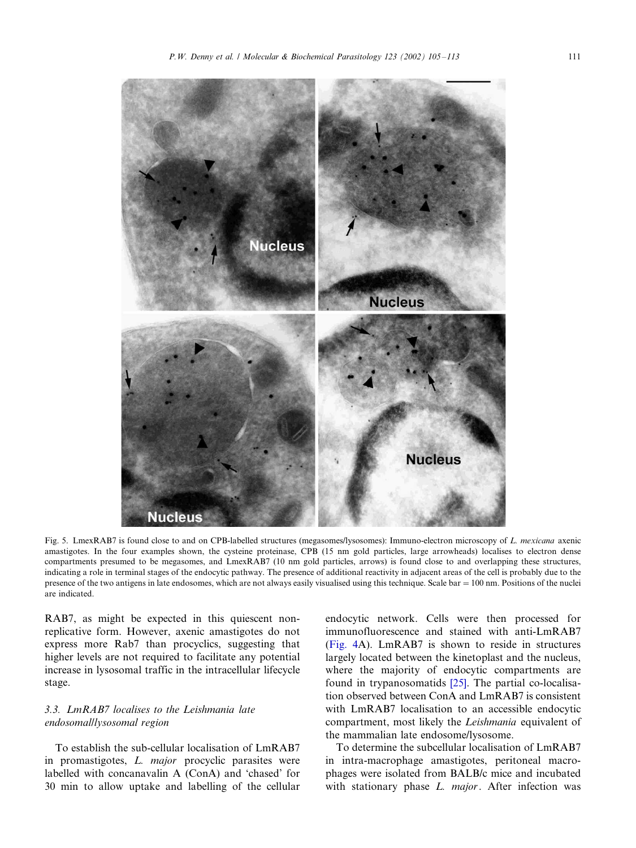

<span id="page-6-0"></span>

Fig. 5. LmexRAB7 is found close to and on CPB-labelled structures (megasomes/lysosomes): Immuno-electron microscopy of L. mexicana axenic amastigotes. In the four examples shown, the cysteine proteinase, CPB (15 nm gold particles, large arrowheads) localises to electron dense compartments presumed to be megasomes, and LmexRAB7 (10 nm gold particles, arrows) is found close to and overlapping these structures, indicating a role in terminal stages of the endocytic pathway. The presence of additional reactivity in adjacent areas of the cell is probably due to the presence of the two antigens in late endosomes, which are not always easily visualised using this technique. Scale bar = 100 nm. Positions of the nuclei are indicated.

RAB7, as might be expected in this quiescent nonreplicative form. However, axenic amastigotes do not express more Rab7 than procyclics, suggesting that higher levels are not required to facilitate any potential increase in lysosomal traffic in the intracellular lifecycle stage.

# 3.3. LmRAB7 localises to the Leishmania late endosomal/lysosomal region

To establish the sub-cellular localisation of LmRAB7 in promastigotes, *L. major* procyclic parasites were labelled with concanavalin A (ConA) and 'chased' for 30 min to allow uptake and labelling of the cellular

endocytic network. Cells were then processed for immunofluorescence and stained with anti-LmRAB7 [\(Fig. 4](#page-5-0)A). LmRAB7 is shown to reside in structures largely located between the kinetoplast and the nucleus, where the majority of endocytic compartments are found in trypanosomatids [\[25\].](#page-8-0) The partial co-localisation observed between ConA and LmRAB7 is consistent with LmRAB7 localisation to an accessible endocytic compartment, most likely the Leishmania equivalent of the mammalian late endosome/lysosome.

To determine the subcellular localisation of LmRAB7 in intra-macrophage amastigotes, peritoneal macrophages were isolated from BALB/c mice and incubated with stationary phase L. major. After infection was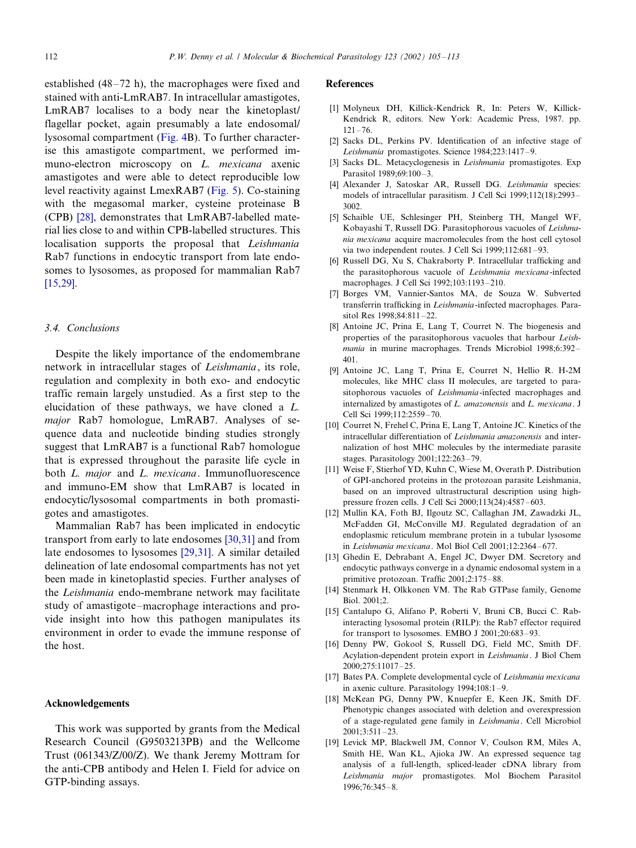<span id="page-7-0"></span>established  $(48-72 h)$ , the macrophages were fixed and stained with anti-LmRAB7. In intracellular amastigotes, LmRAB7 localises to a body near the kinetoplast/ flagellar pocket, again presumably a late endosomal/ lysosomal compartment [\(Fig. 4](#page-5-0)B). To further characterise this amastigote compartment, we performed immuno-electron microscopy on L. mexicana axenic amastigotes and were able to detect reproducible low level reactivity against LmexRAB7 [\(Fig. 5](#page-6-0)). Co-staining with the megasomal marker, cysteine proteinase B (CPB) [\[28\]](#page-8-0), demonstrates that LmRAB7-labelled material lies close to and within CPB-labelled structures. This localisation supports the proposal that Leishmania Rab7 functions in endocytic transport from late endosomes to lysosomes, as proposed for mammalian Rab7 [15,29].

# 3.4. Conclusions

Despite the likely importance of the endomembrane network in intracellular stages of Leishmania, its role, regulation and complexity in both exo- and endocytic traffic remain largely unstudied. As a first step to the elucidation of these pathways, we have cloned a L. major Rab7 homologue, LmRAB7. Analyses of sequence data and nucleotide binding studies strongly suggest that LmRAB7 is a functional Rab7 homologue that is expressed throughout the parasite life cycle in both L. major and L. mexicana. Immunofluorescence and immuno-EM show that LmRAB7 is located in endocytic/lysosomal compartments in both promastigotes and amastigotes.

Mammalian Rab7 has been implicated in endocytic transport from early to late endosomes [\[30,31\]](#page-8-0) and from late endosomes to lysosomes [\[29,31\].](#page-8-0) A similar detailed delineation of late endosomal compartments has not yet been made in kinetoplastid species. Further analyses of the Leishmania endo-membrane network may facilitate study of amastigote–macrophage interactions and provide insight into how this pathogen manipulates its environment in order to evade the immune response of the host.

# Acknowledgements

This work was supported by grants from the Medical Research Council (G9503213PB) and the Wellcome Trust (061343/Z/00/Z). We thank Jeremy Mottram for the anti-CPB antibody and Helen I. Field for advice on GTP-binding assays.

#### References

- [1] Molyneux DH, Killick-Kendrick R, In: Peters W, Killick-Kendrick R, editors. New York: Academic Press, 1987. pp.  $121 - 76$
- [2] Sacks DL, Perkins PV. Identification of an infective stage of Leishmania promastigotes. Science 1984;223:1417-9.
- [3] Sacks DL. Metacyclogenesis in Leishmania promastigotes. Exp Parasitol 1989;69:100-3.
- [4] Alexander J, Satoskar AR, Russell DG. Leishmania species: models of intracellular parasitism. J Cell Sci 1999;112(18):2993-3002.
- [5] Schaible UE, Schlesinger PH, Steinberg TH, Mangel WF, Kobayashi T, Russell DG. Parasitophorous vacuoles of Leishmania mexicana acquire macromolecules from the host cell cytosol via two independent routes. J Cell Sci 1999;112:681-93.
- [6] Russell DG, Xu S, Chakraborty P. Intracellular trafficking and the parasitophorous vacuole of Leishmania mexicana-infected macrophages. J Cell Sci 1992;103:1193-210.
- [7] Borges VM, Vannier-Santos MA, de Souza W. Subverted transferrin trafficking in Leishmania-infected macrophages. Parasitol Res 1998;84:811-22.
- [8] Antoine JC, Prina E, Lang T, Courret N. The biogenesis and properties of the parasitophorous vacuoles that harbour Leishmania in murine macrophages. Trends Microbiol 1998;6:392-401.
- [9] Antoine JC, Lang T, Prina E, Courret N, Hellio R. H-2M molecules, like MHC class II molecules, are targeted to parasitophorous vacuoles of *Leishmania*-infected macrophages and internalized by amastigotes of L. amazonensis and L. mexicana. J Cell Sci 1999;112:2559-70.
- [10] Courret N, Frehel C, Prina E, Lang T, Antoine JC. Kinetics of the intracellular differentiation of Leishmania amazonensis and internalization of host MHC molecules by the intermediate parasite stages. Parasitology  $2001;122:263-79$ .
- [11] Weise F, Stierhof YD, Kuhn C, Wiese M, Overath P. Distribution of GPI-anchored proteins in the protozoan parasite Leishmania, based on an improved ultrastructural description using highpressure frozen cells. J Cell Sci 2000;113(24):4587-603.
- [12] Mullin KA, Foth BJ, Ilgoutz SC, Callaghan JM, Zawadzki JL, McFadden GI, McConville MJ. Regulated degradation of an endoplasmic reticulum membrane protein in a tubular lysosome in Leishmania mexicana. Mol Biol Cell 2001;12:2364-677.
- [13] Ghedin E, Debrabant A, Engel JC, Dwyer DM. Secretory and endocytic pathways converge in a dynamic endosomal system in a primitive protozoan. Traffic 2001;2:175-88.
- [14] Stenmark H, Olkkonen VM. The Rab GTPase family, Genome Biol. 2001;2.
- [15] Cantalupo G, Alifano P, Roberti V, Bruni CB, Bucci C. Rabinteracting lysosomal protein (RILP): the Rab7 effector required for transport to lysosomes. EMBO J  $2001;20:683-93$ .
- [16] Denny PW, Gokool S, Russell DG, Field MC, Smith DF. Acylation-dependent protein export in Leishmania. J Biol Chem 2000;275:11017-25.
- [17] Bates PA. Complete developmental cycle of Leishmania mexicana in axenic culture. Parasitology  $1994;108:1-9$ .
- [18] McKean PG, Denny PW, Knuepfer E, Keen JK, Smith DF. Phenotypic changes associated with deletion and overexpression of a stage-regulated gene family in Leishmania. Cell Microbiol  $2001 \cdot 3.511 - 23$
- [19] Levick MP, Blackwell JM, Connor V, Coulson RM, Miles A, Smith HE, Wan KL, Ajioka JW. An expressed sequence tag analysis of a full-length, spliced-leader cDNA library from Leishmania major promastigotes. Mol Biochem Parasitol 1996:76:345-8.